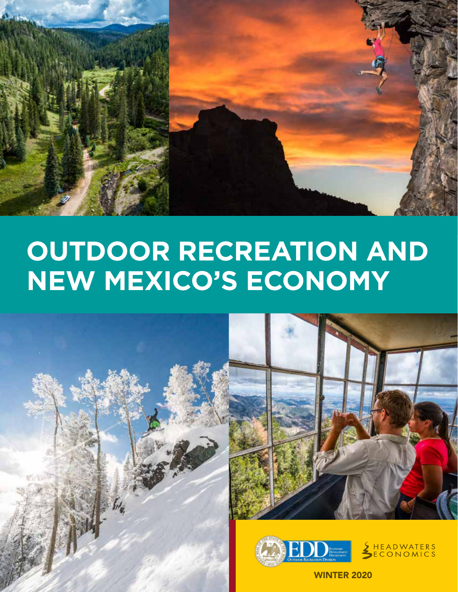

# **OUTDOOR RECREATION AND NEW MEXICO'S ECONOMY**

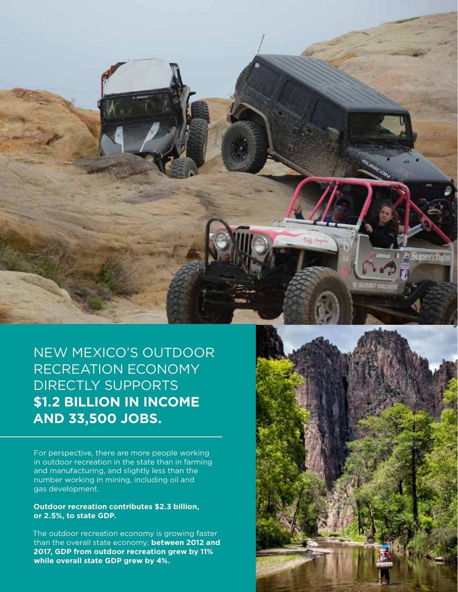

NEW MEXICO'S OUTDOOR RECREATION ECONOMY DIRECTLY SUPPORTS **\$1.2 BILLION IN INCOME AND 33,500 JOBS.**

For perspective, there are more people working in outdoor recreation in the state than in farming and manufacturing, and slightly less than the number working in mining, including oil and gas development.

#### **Outdoor recreation contributes \$2.3 billion, or 2.5%, to state GDP.**

while overall state GDP grew by 4%. *while overall* The outdoor recreation economy is growing faster than the overall state economy: **between 2012 and 2017, GDP from outdoor recreation grew by 11%** 

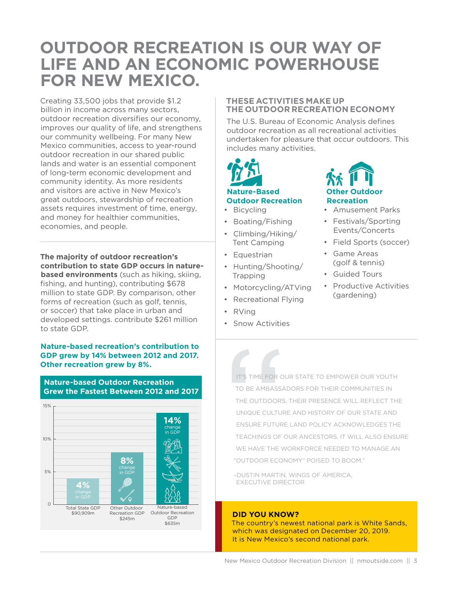## **OUTDOOR RECREATION IS OUR WAY OF LIFE AND AN ECONOMIC POWERHOUSE FOR NEW MEXICO.**

Creating 33,500 jobs that provide \$1.2 billion in income across many sectors, outdoor recreation diversifies our economy, improves our quality of life, and strengthens our community wellbeing. For many New Mexico communities, access to year-round outdoor recreation in our shared public lands and water is an essential component of long-term economic development and community identity. As more residents and visitors are active in New Mexico's great outdoors, stewardship of recreation assets requires investment of time, energy, and money for healthier communities, economies, and people.

**The majority of outdoor recreation's contribution to state GDP occurs in naturebased environments** (such as hiking, skiing, fishing, and hunting), contributing \$678 million to state GDP. By comparison, other forms of recreation (such as golf, tennis, or soccer) that take place in urban and developed settings. contribute \$261 million to state GDP.

#### **Nature-based recreation's contribution to GDP grew by 14% between 2012 and 2017. Other recreation grew by 8%.**

Total State GDP \$90,909m Other Outdoor Recreation GDP Outdoor Recreation \$245m Nature-based GDP \$635m **14%** change in GDP **8%** change in GDP **4%** 15% 10% 5%  $\Omega$ 

#### **THESE ACTIVITIES MAKE UP THE OUTDOOR RECREATION ECONOMY**

The U.S. Bureau of Economic Analysis defines outdoor recreation as all recreational activities undertaken for pleasure that occur outdoors. This includes many activities.



- Bicycling
- Boating/Fishing
- Climbing/Hiking/ Tent Camping
- Equestrian
- Hunting/Shooting/ Trapping
- Motorcycling/ATVing
- Recreational Flying
- RVing
- Snow Activities



- Amusement Parks
- Festivals/Sporting Events/Concerts
- Field Sports (soccer)
- Game Areas (golf & tennis)
- Guided Tours
- Productive Activities (gardening)

IT'S TIME FOR OUTORS.<br>THE OUTDOORS.<br>UNIQUE CULTURI<br>ENSURE FUTURE<br>TEACHINGS OF C<br>WE HAVE THE W<br>"OUTDOOR ECON<br>-DUSTIN MARTIN,<br>EXECUTIVE DIRE IT'S TIME FOR OUR STATE TO EMPOWER OUR YOUTH TO BE AMBASSADORS FOR THEIR COMMUNITIES IN THE OUTDOORS. THEIR PRESENCE WILL REFLECT THE UNIQUE CULTURE AND HISTORY OF OUR STATE AND ENSURE FUTURE LAND POLICY ACKNOWLEDGES THE TEACHINGS OF OUR ANCESTORS. IT WILL ALSO ENSURE WE HAVE THE WORKFORCE NEEDED TO MANAGE AN "OUTDOOR ECONOMY" POISED TO BOOM."

–DUSTIN MARTIN, WINGS OF AMERICA, EXECUTIVE DIRECTOR

#### **DID YOU KNOW?**

The country's newest national park is White Sands, which was designated on December 20, 2019. It is New Mexico's second national park.

#### **Nature-based Outdoor Recreation Grew the Fastest Between 2012 and 2017**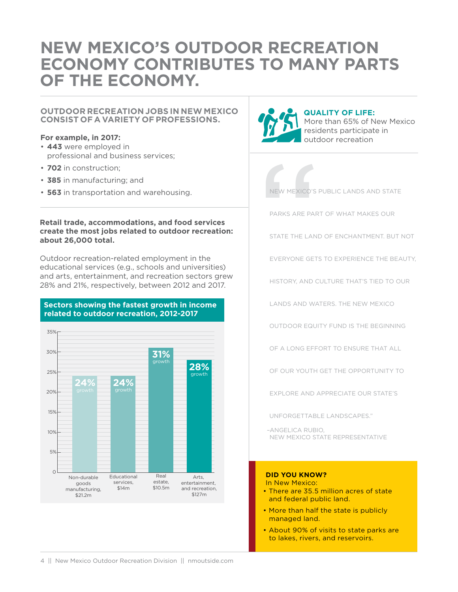### **NEW MEXICO'S OUTDOOR RECREATION ECONOMY CONTRIBUTES TO MANY PARTS OF THE ECONOMY.**

#### **OUTDOOR RECREATION JOBS IN NEW MEXICO CONSIST OF A VARIETY OF PROFESSIONS.**

#### **For example, in 2017:**

- **443** were employed in professional and business services;
- **702** in construction;
- **385** in manufacturing; and
- 

#### **Retail trade, accommodations, and food services create the most jobs related to outdoor recreation: about 26,000 total.**

**• 702** in construction;<br>
• **385** in manufacturing; and<br>
• **563** in transportation and warehousing.<br>
• **563** in transportation and warehousing.<br> **Retail trade, accommodations, and food services**<br> **PARKS ARE PART<br>
Crease th** Outdoor recreation-related employment in the educational services (e.g., schools and universities) and arts, entertainment, and recreation sectors grew 28% and 21%, respectively, between 2012 and 2017.



#### **Sectors showing the fastest growth in income related to outdoor recreation, 2012-2017**



#### **QUALITY OF LIFE:**

More than 65% of New Mexico residents participate in outdoor recreation



NEW MEXICO'S PUBLIC LANDS AND STATE

PARKS ARE PART OF WHAT MAKES OUR

STATE THE LAND OF ENCHANTMENT. BUT NOT

EVERYONE GETS TO EXPERIENCE THE BEAUTY,

HISTORY, AND CULTURE THAT'S TIED TO OUR

LANDS AND WATERS. THE NEW MEXICO

OUTDOOR EQUITY FUND IS THE BEGINNING

OF A LONG EFFORT TO ENSURE THAT ALL

OF OUR YOUTH GET THE OPPORTUNITY TO

EXPLORE AND APPRECIATE OUR STATE'S

UNFORGETTABLE LANDSCAPES."

–ANGELICA RUBIO, NEW MEXICO STATE REPRESENTATIVE

#### **DID YOU KNOW?**

In New Mexico:

- There are 35.5 million acres of state and federal public land.
- More than half the state is publicly managed land.
- About 90% of visits to state parks are to lakes, rivers, and reservoirs.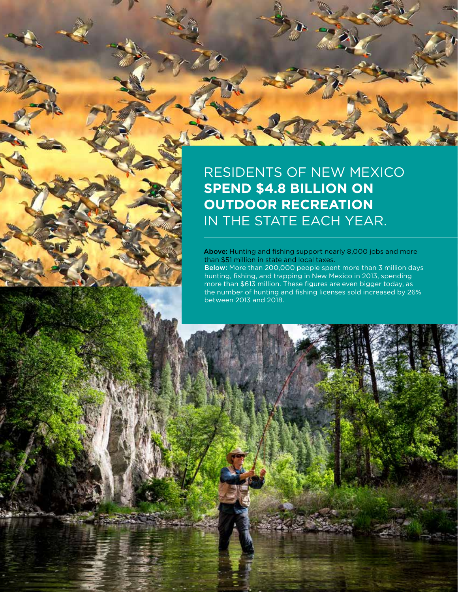### RESIDENTS OF NEW MEXICO **SPEND \$4.8 BILLION ON OUTDOOR RECREATION** IN THE STATE EACH YEAR.

Above: Hunting and fishing support nearly 8,000 jobs and more than \$51 million in state and local taxes.

Below: More than 200,000 people spent more than 3 million days hunting, fishing, and trapping in New Mexico in 2013, spending more than \$613 million. These figures are even bigger today, as the number of hunting and fishing licenses sold increased by 26% between 2013 and 2018.

New Mexico Outdoor Recreation Division || nmoutside.com || 5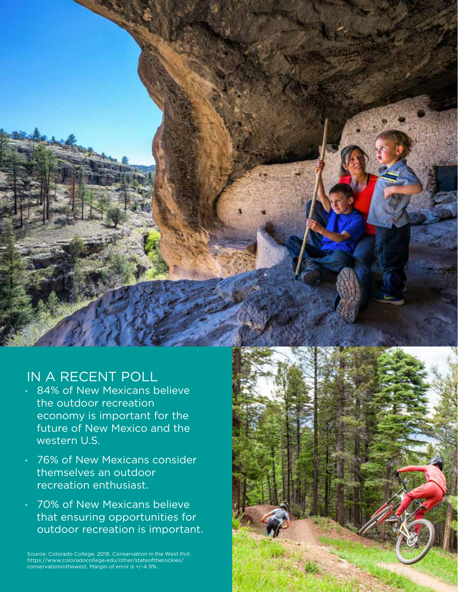

### IN A RECENT POLL

- 84% of New Mexicans believe the outdoor recreation economy is important for the future of New Mexico and the western U.S.
- 76% of New Mexicans consider themselves an outdoor recreation enthusiast.
- 70% of New Mexicans believe that ensuring opportunities for outdoor recreation is important.

6 || New Mexico Outdoor Recreation Division || nmoutside.com Source: Colorado College. 2018. Conservation in the West Poll. https://www.coloradocollege.edu/other/stateoftherockies/ conservationinthewest. Margin of error is +/-4.9%.

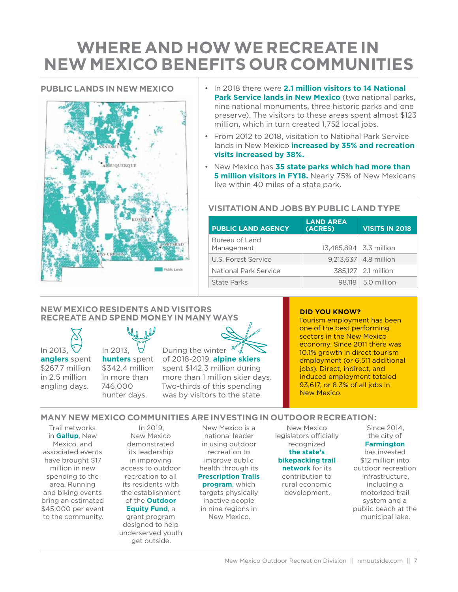# **WHERE AND HOW WE RECREATE IN NEW MEXICO BENEFITS OUR COMMUNITIES**

#### **PUBLIC LANDS IN NEW MEXICO**



- In 2018 there were **2.1 million visitors to 14 National Park Service lands in New Mexico** (two national parks, nine national monuments, three historic parks and one preserve). The visitors to these areas spent almost \$123 million, which in turn created 1,752 local jobs.
- From 2012 to 2018, visitation to National Park Service lands in New Mexico **increased by 35% and recreation visits increased by 38%.**
- New Mexico has **35 state parks which had more than 5 million visitors in FY18.** Nearly 75% of New Mexicans live within 40 miles of a state park.

#### **VISITATION AND JOBS BY PUBLIC LAND TYPE**

| <b>PUBLIC LAND AGENCY</b>    | <b>LAND AREA</b><br>(ACRES) | <b>VISITS IN 2018</b>        |
|------------------------------|-----------------------------|------------------------------|
| Bureau of Land<br>Management | 13,485,894   3.3 million    |                              |
| U.S. Forest Service          |                             | $9.213.637 \mid 4.8$ million |
| National Park Service        |                             | 385,127   2.1 million        |
| <b>State Parks</b>           |                             | 98.118   5.0 million         |
|                              |                             |                              |

#### **NEW MEXICO RESIDENTS AND VISITORS RECREATE AND SPEND MONEY IN MANY WAYS**

In 2013,  $\sqrt{\ }$ **anglers** spent \$267.7 million in 2.5 million angling days.



**hunters** spent \$342.4 million in more than 746,000 hunter days.



#### **DID YOU KNOW?**

Tourism employment has been one of the best performing sectors in the New Mexico economy. Since 2011 there was 10.1% growth in direct tourism employment (or 6,511 additional jobs). Direct, indirect, and induced employment totaled 93,617, or 8.3% of all jobs in New Mexico.

#### **MANY NEW MEXICO COMMUNITIES ARE INVESTING IN OUTDOOR RECREATION:**

Two-thirds of this spending was by visitors to the state.

Trail networks in **Gallup**, New Mexico, and associated events have brought \$17 million in new spending to the area. Running and biking events bring an estimated \$45,000 per event to the community.

In 2019, New Mexico demonstrated its leadership in improving access to outdoor recreation to all its residents with the establishment of the **Outdoor Equity Fund**, a grant program

designed to help underserved youth get outside.

New Mexico is a national leader in using outdoor recreation to improve public health through its **Prescription Trails** 

**program**, which targets physically inactive people in nine regions in New Mexico.

New Mexico legislators officially recognized **the state's** 

#### **bikepacking trail network** for its

contribution to rural economic development.

Since 2014, the city of **Farmington**

has invested

\$12 million into outdoor recreation infrastructure, including a motorized trail system and a public beach at the municipal lake.